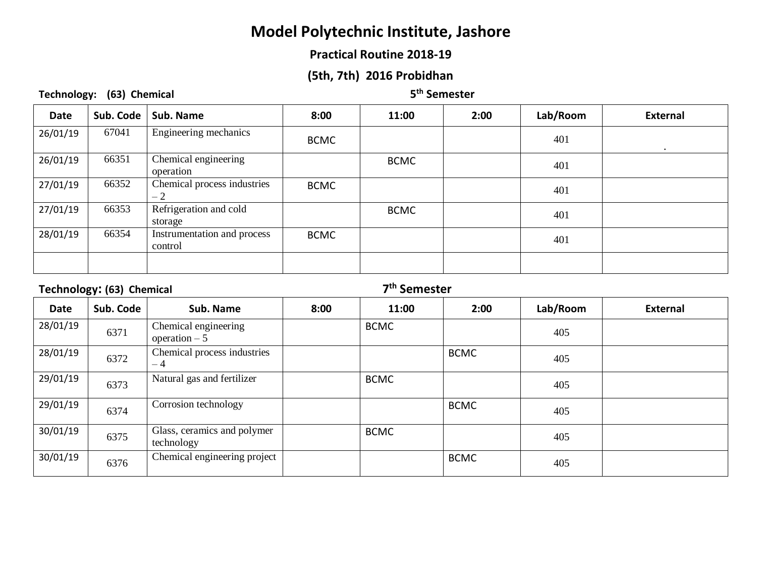### **Practical Routine 2018-19**

## **(5th, 7th) 2016 Probidhan**

**Technology: (63) Chemical 5**

#### **th Semester**

| <b>Date</b> | Sub. Code | Sub. Name                              | 8:00        | 11:00       | 2:00 | Lab/Room | <b>External</b> |
|-------------|-----------|----------------------------------------|-------------|-------------|------|----------|-----------------|
| 26/01/19    | 67041     | Engineering mechanics                  | <b>BCMC</b> |             |      | 401      | $\bullet$       |
| 26/01/19    | 66351     | Chemical engineering<br>operation      |             | <b>BCMC</b> |      | 401      |                 |
| 27/01/19    | 66352     | Chemical process industries<br>$-2$    | <b>BCMC</b> |             |      | 401      |                 |
| 27/01/19    | 66353     | Refrigeration and cold<br>storage      |             | <b>BCMC</b> |      | 401      |                 |
| 28/01/19    | 66354     | Instrumentation and process<br>control | <b>BCMC</b> |             |      | 401      |                 |
|             |           |                                        |             |             |      |          |                 |

#### **Technology: (63) Chemical 7**

| <b>Date</b> | Sub. Code | Sub. Name                                 | 8:00 | 11:00       | 2:00        | Lab/Room | External |
|-------------|-----------|-------------------------------------------|------|-------------|-------------|----------|----------|
| 28/01/19    | 6371      | Chemical engineering<br>operation $-5$    |      | <b>BCMC</b> |             | 405      |          |
| 28/01/19    | 6372      | Chemical process industries<br>$-4$       |      |             | <b>BCMC</b> | 405      |          |
| 29/01/19    | 6373      | Natural gas and fertilizer                |      | <b>BCMC</b> |             | 405      |          |
| 29/01/19    | 6374      | Corrosion technology                      |      |             | <b>BCMC</b> | 405      |          |
| 30/01/19    | 6375      | Glass, ceramics and polymer<br>technology |      | <b>BCMC</b> |             | 405      |          |
| 30/01/19    | 6376      | Chemical engineering project              |      |             | <b>BCMC</b> | 405      |          |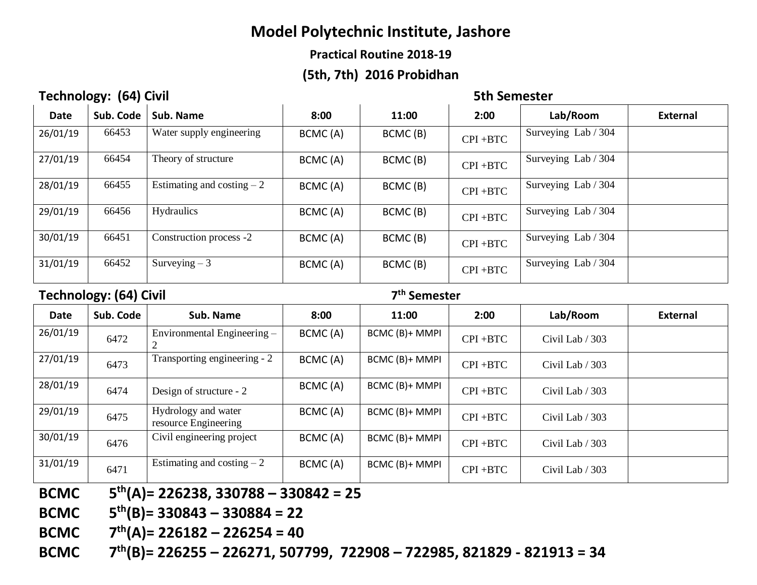## **Practical Routine 2018-19**

# **(5th, 7th) 2016 Probidhan**

# **Technology: (64) Civil 60 Civil 60 Civil 60 Civil 60 Civil 60 Civil 60 Civil 60 Civil 60 Civil 60 Civil 60 Civil 60 Civil 60 Civil 60 Civil 60 Civil 60 Civil 60 Civil 60 Civil 60 Civil 60 Civil 60 Civil 60 Civil 60 Civil**

| <b>Date</b> | Sub. Code | Sub. Name                   | 8:00    | 11:00   | 2:00        | Lab/Room            | <b>External</b> |
|-------------|-----------|-----------------------------|---------|---------|-------------|---------------------|-----------------|
| 26/01/19    | 66453     | Water supply engineering    | BCMC(A) | BCMC(B) | $CPI + BTC$ | Surveying Lab / 304 |                 |
| 27/01/19    | 66454     | Theory of structure         | BCMC(A) | BCMC(B) | CPI +BTC    | Surveying Lab / 304 |                 |
| 28/01/19    | 66455     | Estimating and costing $-2$ | BCMC(A) | BCMC(B) | $CPI + BTC$ | Surveying Lab / 304 |                 |
| 29/01/19    | 66456     | <b>Hydraulics</b>           | BCMC(A) | BCMC(B) | CPI +BTC    | Surveying Lab / 304 |                 |
| 30/01/19    | 66451     | Construction process -2     | BCMC(A) | BCMC(B) | $CPI + BTC$ | Surveying Lab / 304 |                 |
| 31/01/19    | 66452     | Surveying $-3$              | BCMC(A) | BCMC(B) | CPI +BTC    | Surveying Lab / 304 |                 |

### **Technology: (64) Civil 7**

| <b>Date</b> | Sub. Code | Sub. Name                                   | 8:00    | 11:00          | 2:00        | Lab/Room        | <b>External</b> |
|-------------|-----------|---------------------------------------------|---------|----------------|-------------|-----------------|-----------------|
| 26/01/19    | 6472      | Environmental Engineering -                 | BCMC(A) | BCMC (B)+ MMPI | $CPI + BTC$ | Civil Lab / 303 |                 |
| 27/01/19    | 6473      | Transporting engineering - 2                | BCMC(A) | BCMC (B)+ MMPI | $CPI + BTC$ | Civil Lab / 303 |                 |
| 28/01/19    | 6474      | Design of structure - 2                     | BCMC(A) | BCMC (B)+ MMPI | $CPI + BTC$ | Civil Lab / 303 |                 |
| 29/01/19    | 6475      | Hydrology and water<br>resource Engineering | BCMC(A) | BCMC (B)+ MMPI | $CPI + BTC$ | Civil Lab / 303 |                 |
| 30/01/19    | 6476      | Civil engineering project                   | BCMC(A) | BCMC (B)+ MMPI | $CPI + BTC$ | Civil Lab / 303 |                 |
| 31/01/19    | 6471      | Estimating and costing $-2$                 | BCMC(A) | BCMC (B)+ MMPI | $CPI + BTC$ | Civil Lab / 303 |                 |

- **BCMC th(A)= 226238, 330788 – 330842 = 25**
- **BCMC th(B)= 330843 – 330884 = 22**
- **BCMC 7 th(A)= 226182 – 226254 = 40**
- **BCMC 7 th(B)= 226255 – 226271, 507799, 722908 – 722985, 821829 - 821913 = 34**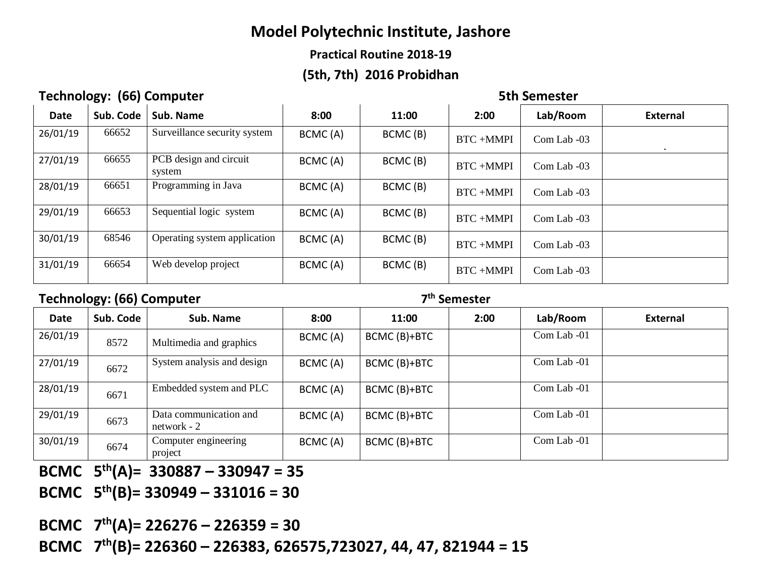## **Practical Routine 2018-19**

# **(5th, 7th) 2016 Probidhan**

# **Technology: (66) Computer 6th Semester** 5th Semester

| <b>Date</b> | Sub. Code | Sub. Name                        | 8:00    | 11:00   | 2:00            | Lab/Room      | <b>External</b> |
|-------------|-----------|----------------------------------|---------|---------|-----------------|---------------|-----------------|
| 26/01/19    | 66652     | Surveillance security system     | BCMC(A) | BCMC(B) | BTC+MMPI        | Com Lab -03   |                 |
| 27/01/19    | 66655     | PCB design and circuit<br>system | BCMC(A) | BCMC(B) | BTC+MMPI        | Com Lab -03   |                 |
| 28/01/19    | 66651     | Programming in Java              | BCMC(A) | BCMC(B) | BTC+MMPI        | Com Lab -03   |                 |
| 29/01/19    | 66653     | Sequential logic system          | BCMC(A) | BCMC(B) | BTC+MMPI        | Com Lab -03   |                 |
| 30/01/19    | 68546     | Operating system application     | BCMC(A) | BCMC(B) | <b>BTC+MMPI</b> | $Com Lab -03$ |                 |
| 31/01/19    | 66654     | Web develop project              | BCMC(A) | BCMC(B) | <b>BTC+MMPI</b> | Com Lab -03   |                 |

## **Technology: (66) Computer 7**

**th Semester**

|             | .         |                                         |         |              |      |             |                 |
|-------------|-----------|-----------------------------------------|---------|--------------|------|-------------|-----------------|
| <b>Date</b> | Sub. Code | Sub. Name                               | 8:00    | 11:00        | 2:00 | Lab/Room    | <b>External</b> |
| 26/01/19    | 8572      | Multimedia and graphics                 | BCMC(A) | BCMC (B)+BTC |      | Com Lab -01 |                 |
| 27/01/19    | 6672      | System analysis and design              | BCMC(A) | BCMC (B)+BTC |      | Com Lab -01 |                 |
| 28/01/19    | 6671      | Embedded system and PLC                 | BCMC(A) | BCMC (B)+BTC |      | Com Lab -01 |                 |
| 29/01/19    | 6673      | Data communication and<br>$network - 2$ | BCMC(A) | BCMC (B)+BTC |      | Com Lab -01 |                 |
| 30/01/19    | 6674      | Computer engineering<br>project         | BCMC(A) | BCMC (B)+BTC |      | Com Lab -01 |                 |

**BCMC 5 th(A)= 330887 – 330947 = 35** 

**BCMC 5 th(B)= 330949 – 331016 = 30**

**BCMC 7 th(A)= 226276 – 226359 = 30** 

**BCMC 7 th(B)= 226360 – 226383, 626575,723027, 44, 47, 821944 = 15**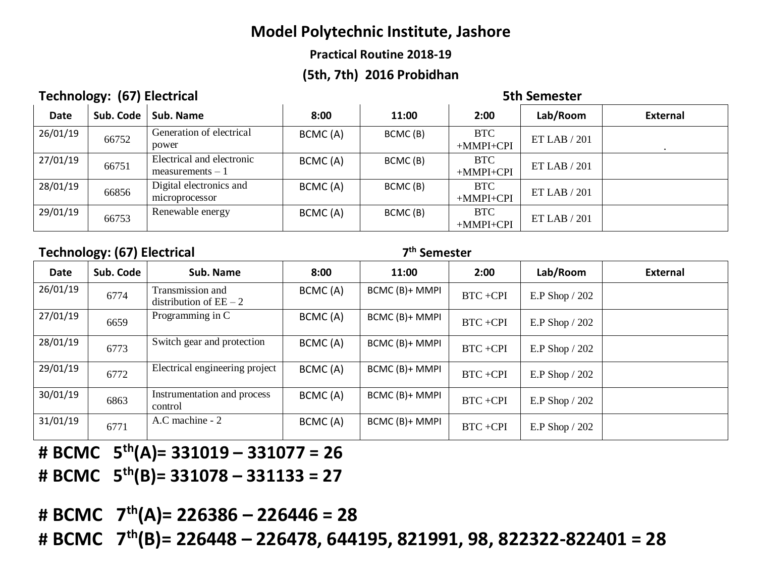## **Practical Routine 2018-19**

# **(5th, 7th) 2016 Probidhan**

# **Technology: (67) Electrical 6th Semester** 5th Semester

| <b>Date</b> | Sub. Code | Sub. Name                                       | 8:00    | 11:00   | 2:00                      | Lab/Room     | <b>External</b> |
|-------------|-----------|-------------------------------------------------|---------|---------|---------------------------|--------------|-----------------|
| 26/01/19    | 66752     | Generation of electrical<br>power               | BCMC(A) | BCMC(B) | <b>BTC</b><br>$+MMPI+CPI$ | ET LAB / 201 |                 |
| 27/01/19    | 66751     | Electrical and electronic<br>$measurements - 1$ | BCMC(A) | BCMC(B) | <b>BTC</b><br>$+MMPI+CPI$ | ET LAB / 201 |                 |
| 28/01/19    | 66856     | Digital electronics and<br>microprocessor       | BCMC(A) | BCMC(B) | <b>BTC</b><br>$+MMPI+CPI$ | ET LAB / 201 |                 |
| 29/01/19    | 66753     | Renewable energy                                | BCMC(A) | BCMC(B) | <b>BTC</b><br>$+MMPI+CPI$ | ET LAB / 201 |                 |

# **Technology: (67) Electrical 7**

#### **th Semester**

| Date     | Sub. Code | Sub. Name                                    | 8:00     | 11:00          | 2:00        | Lab/Room        | <b>External</b> |
|----------|-----------|----------------------------------------------|----------|----------------|-------------|-----------------|-----------------|
| 26/01/19 | 6774      | Transmission and<br>distribution of $EE - 2$ | BCMC(A)  | BCMC (B)+ MMPI | BTC+CPI     | E.P Shop / 202  |                 |
| 27/01/19 | 6659      | Programming in C                             | BCMC (A) | BCMC (B)+ MMPI | BTC+CPI     | E.P Shop $/202$ |                 |
| 28/01/19 | 6773      | Switch gear and protection                   | BCMC(A)  | BCMC (B)+ MMPI | BTC+CPI     | E.P Shop $/202$ |                 |
| 29/01/19 | 6772      | Electrical engineering project               | BCMC(A)  | BCMC (B)+ MMPI | $BTC + CPI$ | E.P Shop / 202  |                 |
| 30/01/19 | 6863      | Instrumentation and process<br>control       | BCMC(A)  | BCMC (B)+ MMPI | $BTC + CPI$ | E.P Shop / 202  |                 |
| 31/01/19 | 6771      | A.C machine - 2                              | BCMC (A) | BCMC (B)+ MMPI | BTC+CPI     | E.P Shop / 202  |                 |

- **# BCMC 5 th(A)= 331019 – 331077 = 26**
- **# BCMC 5 th(B)= 331078 – 331133 = 27**

**# BCMC 7 th(A)= 226386 – 226446 = 28** 

**# BCMC 7 th(B)= 226448 – 226478, 644195, 821991, 98, 822322-822401 = 28**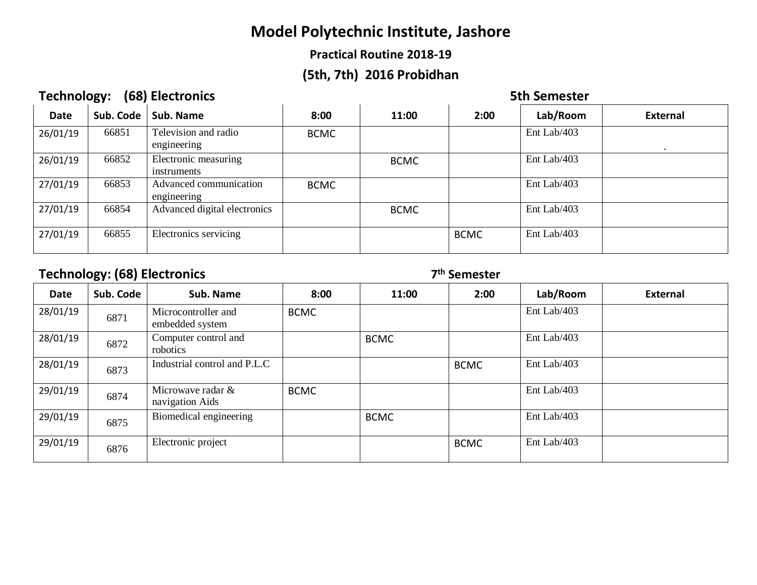## **Practical Routine 2018-19**

# **(5th, 7th) 2016 Probidhan**

# **Technology: (68) Electronics** 6. The setting of the setting of the setting of the setting of the setting of the setting of the setting of the setting of the setting of the setting of the setting of the set of the set of t

| <b>Date</b> | Sub. Code | Sub. Name                             | 8:00        | 11:00       | 2:00        | Lab/Room    | <b>External</b> |
|-------------|-----------|---------------------------------------|-------------|-------------|-------------|-------------|-----------------|
| 26/01/19    | 66851     | Television and radio<br>engineering   | <b>BCMC</b> |             |             | Ent Lab/403 |                 |
| 26/01/19    | 66852     | Electronic measuring<br>instruments   |             | <b>BCMC</b> |             | Ent Lab/403 |                 |
| 27/01/19    | 66853     | Advanced communication<br>engineering | <b>BCMC</b> |             |             | Ent Lab/403 |                 |
| 27/01/19    | 66854     | Advanced digital electronics          |             | <b>BCMC</b> |             | Ent Lab/403 |                 |
| 27/01/19    | 66855     | Electronics servicing                 |             |             | <b>BCMC</b> | Ent Lab/403 |                 |

# **Technology: (68) Electronics 7**

| <b>Date</b> | Sub. Code | Sub. Name                              | 8:00        | 11:00       | 2:00        | Lab/Room    | <b>External</b> |
|-------------|-----------|----------------------------------------|-------------|-------------|-------------|-------------|-----------------|
| 28/01/19    | 6871      | Microcontroller and<br>embedded system | <b>BCMC</b> |             |             | Ent Lab/403 |                 |
| 28/01/19    | 6872      | Computer control and<br>robotics       |             | <b>BCMC</b> |             | Ent Lab/403 |                 |
| 28/01/19    | 6873      | Industrial control and P.L.C           |             |             | <b>BCMC</b> | Ent Lab/403 |                 |
| 29/01/19    | 6874      | Microwave radar &<br>navigation Aids   | <b>BCMC</b> |             |             | Ent Lab/403 |                 |
| 29/01/19    | 6875      | Biomedical engineering                 |             | <b>BCMC</b> |             | Ent Lab/403 |                 |
| 29/01/19    | 6876      | Electronic project                     |             |             | <b>BCMC</b> | Ent Lab/403 |                 |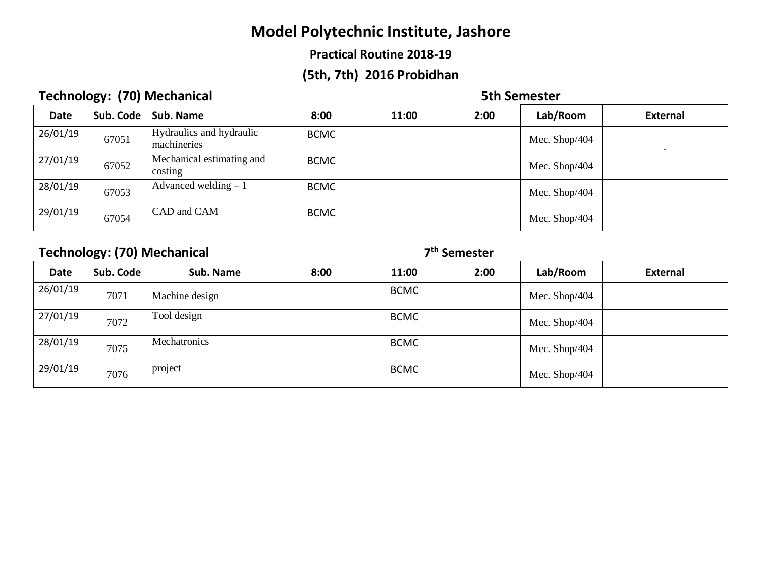## **Practical Routine 2018-19**

# **(5th, 7th) 2016 Probidhan**

# **Technology: (70) Mechanical 6th Semester** 5th Semester

| <b>Date</b> | Sub. Code | Sub. Name                               | 8:00        | 11:00 | 2:00 | Lab/Room      | <b>External</b> |
|-------------|-----------|-----------------------------------------|-------------|-------|------|---------------|-----------------|
| 26/01/19    | 67051     | Hydraulics and hydraulic<br>machineries | <b>BCMC</b> |       |      | Mec. Shop/404 |                 |
| 27/01/19    | 67052     | Mechanical estimating and<br>costing    | <b>BCMC</b> |       |      | Mec. Shop/404 |                 |
| 28/01/19    | 67053     | Advanced welding $-1$                   | <b>BCMC</b> |       |      | Mec. Shop/404 |                 |
| 29/01/19    | 67054     | CAD and CAM                             | <b>BCMC</b> |       |      | Mec. Shop/404 |                 |

# **Technology: (70) Mechanical 7**

|             | .         |                |      |             |      |               |                 |
|-------------|-----------|----------------|------|-------------|------|---------------|-----------------|
| <b>Date</b> | Sub. Code | Sub. Name      | 8:00 | 11:00       | 2:00 | Lab/Room      | <b>External</b> |
| 26/01/19    | 7071      | Machine design |      | <b>BCMC</b> |      | Mec. Shop/404 |                 |
| 27/01/19    | 7072      | Tool design    |      | <b>BCMC</b> |      | Mec. Shop/404 |                 |
| 28/01/19    | 7075      | Mechatronics   |      | <b>BCMC</b> |      | Mec. Shop/404 |                 |
| 29/01/19    | 7076      | project        |      | <b>BCMC</b> |      | Mec. Shop/404 |                 |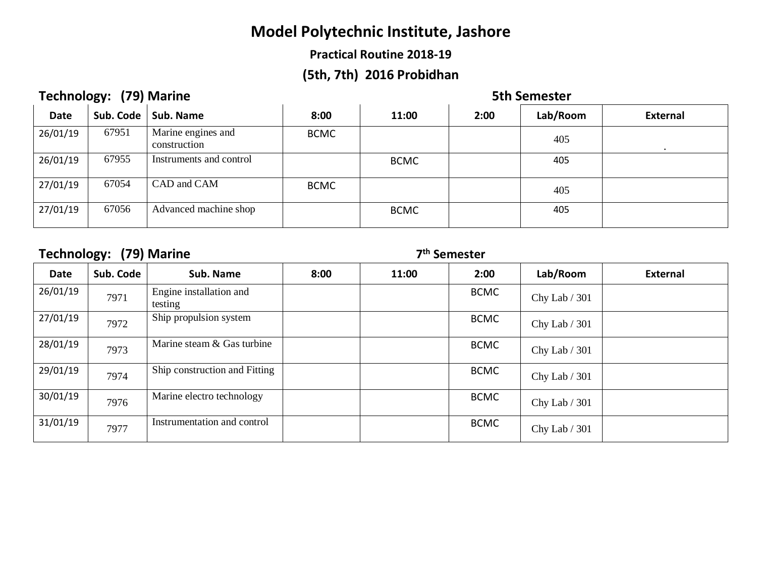## **Practical Routine 2018-19**

# **(5th, 7th) 2016 Probidhan**

# **Technology: (79) Marine 6th Semester** 5th Semester

| <b>Date</b> | Sub. Code | Sub. Name                          | 8:00        | 11:00       | 2:00 | Lab/Room | <b>External</b> |
|-------------|-----------|------------------------------------|-------------|-------------|------|----------|-----------------|
| 26/01/19    | 67951     | Marine engines and<br>construction | <b>BCMC</b> |             |      | 405      |                 |
| 26/01/19    | 67955     | Instruments and control            |             | <b>BCMC</b> |      | 405      |                 |
| 27/01/19    | 67054     | CAD and CAM                        | <b>BCMC</b> |             |      | 405      |                 |
| 27/01/19    | 67056     | Advanced machine shop              |             | <b>BCMC</b> |      | 405      |                 |

# **Technology: (79) Marine 7**

| <b>Date</b> | Sub. Code | Sub. Name                          | 8:00 | 11:00 | 2:00        | Lab/Room       | <b>External</b> |
|-------------|-----------|------------------------------------|------|-------|-------------|----------------|-----------------|
| 26/01/19    | 7971      | Engine installation and<br>testing |      |       | <b>BCMC</b> | Chy Lab / 301  |                 |
| 27/01/19    | 7972      | Ship propulsion system             |      |       | <b>BCMC</b> | Chy Lab / 301  |                 |
| 28/01/19    | 7973      | Marine steam & Gas turbine         |      |       | <b>BCMC</b> | Chy Lab / 301  |                 |
| 29/01/19    | 7974      | Ship construction and Fitting      |      |       | <b>BCMC</b> | Chy Lab / 301  |                 |
| 30/01/19    | 7976      | Marine electro technology          |      |       | <b>BCMC</b> | Chy Lab / 301  |                 |
| 31/01/19    | 7977      | Instrumentation and control        |      |       | <b>BCMC</b> | Chy Lab $/301$ |                 |